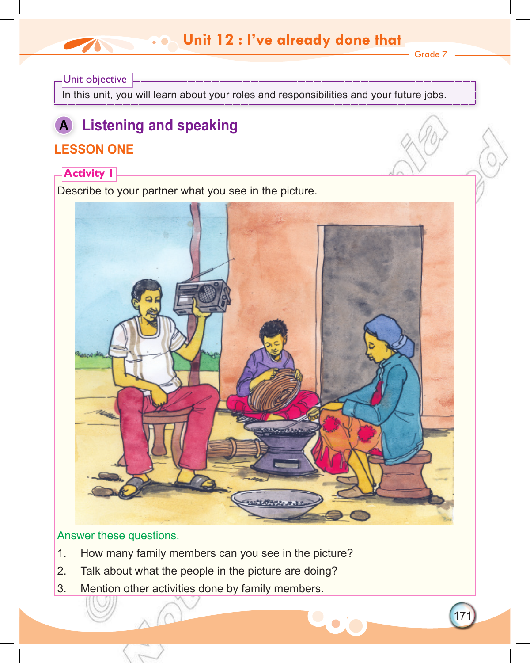## **Unit 12: I've already done that Unit 12 : I've already done that**

Grade 7

171

### Unit objective

In this unit, you will learn about your roles and responsibilities and your future jobs.

# **A Listening and speaking**

## **LESSON ONE**

### **Activity 1**

Describe to your partner what you see in the picture.



### Answer these questions.

- 1. How many family members can you see in the picture?
- 2. Talk about what the people in the picture are doing?
- 3. Mention other activities done by family members.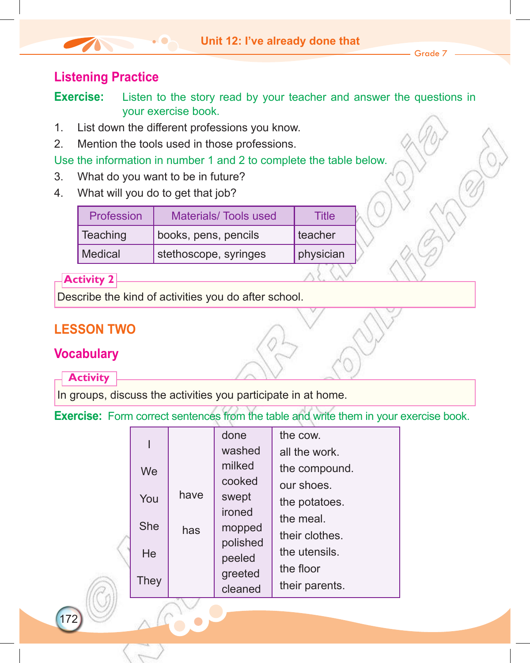### **Listening Practice**

**Exercise:** Listen to the story read by your teacher and answer the questions in your exercise book.

- 1. List down the different professions you know.
- 2. Mention the tools used in those professions.

Use the information in number 1 and 2 to complete the table below.

- 3. What do you want to be in future?
- 4. What will you do to get that job?

| Profession     | <b>Materials/Tools used</b> | Title     |  |
|----------------|-----------------------------|-----------|--|
| Teaching       | books, pens, pencils        | teacher   |  |
| <b>Medical</b> | stethoscope, syringes       | physician |  |

### **Activity 2**

Describe the kind of activities you do after school.

## **LESSON TWO**

### **Vocabulary**

### **Activity**

172

In groups, discuss the activities you participate in at home.

**Exercise:** Form correct sentences from the table and write them in your exercise book.

|            |      | done     | the cow.       |
|------------|------|----------|----------------|
|            |      | washed   | all the work.  |
| We         |      | milked   | the compound.  |
|            |      | cooked   | our shoes.     |
| You        | have | swept    | the potatoes.  |
|            |      | ironed   | the meal.      |
| <b>She</b> | has  | mopped   | their clothes. |
| He         |      | polished | the utensils.  |
|            |      | peeled   | the floor      |
| They       |      | greeted  | their parents. |
|            |      | cleaned  |                |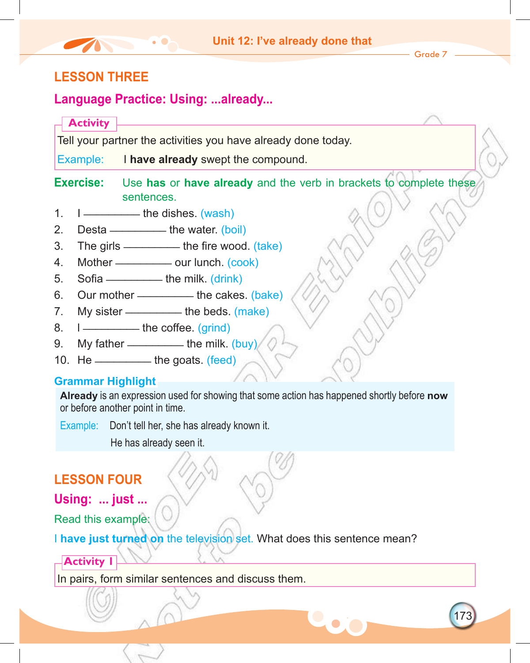173

### **LESSON THREE**

### **Language Practice: Using: ...already...**

**Activity**

Tell your partner the activities you have already done today.

Example: I **have already** swept the compound.

**Exercise:** Use **has** or **have already** and the verb in brackets to complete these sentences.

- 1.  $I$   $\longrightarrow$  the dishes. (wash)
- 2. Desta  $\frac{1}{2}$  besta  $\frac{1}{2}$  the water. (boil)
- 3. The girls \_\_\_\_\_\_\_\_\_ the fire wood. (take)
- 4. Mother \_\_\_\_\_\_\_\_\_\_\_\_\_ our lunch. (cook)
- 5. Sofia  $\frac{1}{2}$  the milk.  $\frac{1}{2}$  (drink)
- 6. Our mother \_\_\_\_\_\_\_\_\_ the cakes. (bake)
- 7. My sister \_\_\_\_\_\_\_\_\_ the beds. (make)
- 8.  $I$   $\longrightarrow$  the coffee. (grind)
- 9. My father  $\frac{1}{2}$  the milk. (buy)
- 10. He  $\frac{1}{\sqrt{1-\frac{1}{\sqrt{1-\frac{1}{\sqrt{1-\frac{1}{\sqrt{1-\frac{1}{\sqrt{1-\frac{1}{\sqrt{1-\frac{1}{\sqrt{1-\frac{1}{\sqrt{1-\frac{1}{\sqrt{1-\frac{1}{\sqrt{1-\frac{1}{\sqrt{1-\frac{1}{\sqrt{1-\frac{1}{\sqrt{1-\frac{1}{\sqrt{1-\frac{1}{\sqrt{1-\frac{1}{\sqrt{1-\frac{1}{\sqrt{1-\frac{1}{\sqrt{1-\frac{1}{\sqrt{1-\frac{1}{\sqrt{1-\frac{1}{\sqrt{1-\frac{1}{\sqrt{1-\frac{1}{\sqrt{1-\frac{1}{\$

### **Grammar Highlight**

**Already** is an expression used for showing that some action has happened shortly before **now** or before another point in time.

Example: Don't tell her, she has already known it.

He has already seen it.

## **LESSON FOUR**

**Using: ... just ...**

Read this example:

I **have just turned on** the television set. What does this sentence mean?

### **Activity 1**

In pairs, form similar sentences and discuss them.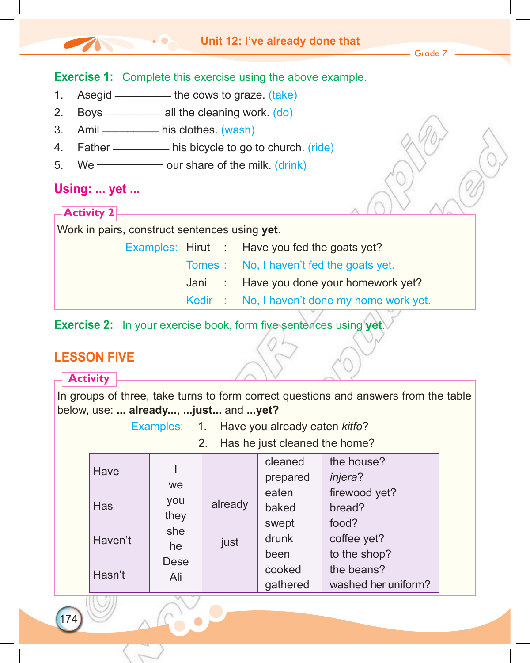

### **Exercise 2:** In your exercise book, form five sentences using **yet**.

### **LESSON FIVE**

174

|                                                                                                                                                                                                                   | <b>Activity</b> |                    |         |                         |                                   |  |
|-------------------------------------------------------------------------------------------------------------------------------------------------------------------------------------------------------------------|-----------------|--------------------|---------|-------------------------|-----------------------------------|--|
| In groups of three, take turns to form correct questions and answers from the table<br>below, use:  already,  just and  yet?<br>Examples: 1. Have you already eaten kitfo?<br>Has he just cleaned the home?<br>2. |                 |                    |         |                         |                                   |  |
|                                                                                                                                                                                                                   | Have            | we                 |         | cleaned<br>prepared     | the house?<br><i>injera</i> ?     |  |
|                                                                                                                                                                                                                   | <b>Has</b>      | you<br>they        | already | eaten<br>baked<br>swept | firewood yet?<br>bread?<br>food?  |  |
|                                                                                                                                                                                                                   | Haven't         | she<br>he          | just    | drunk<br>been           | coffee yet?<br>to the shop?       |  |
|                                                                                                                                                                                                                   | Hasn't          | <b>Dese</b><br>Ali |         | cooked<br>gathered      | the beans?<br>washed her uniform? |  |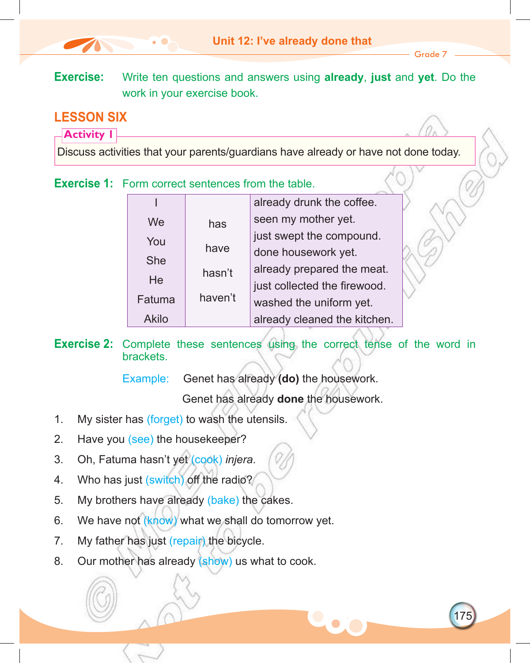175

**Exercise:** Write ten questions and answers using **already**, **just** and **yet**. Do the work in your exercise book.

## **LESSON SIX**

**Activity 1**

Discuss activities that your parents/guardians have already or have not done today.

**Exercise 1:** Form correct sentences from the table

|            |         | already drunk the coffee.    |
|------------|---------|------------------------------|
| We         | has     | seen my mother yet.          |
| You        |         | just swept the compound.     |
| <b>She</b> | have    | done housework yet.          |
|            | hasn't  | already prepared the meat.   |
| He         |         | just collected the firewood. |
| Fatuma     | haven't | washed the uniform yet.      |
| Akilo      |         | already cleaned the kitchen. |

**Exercise 2:** Complete these sentences using the correct tense of the word in brackets.

Example: Genet has already **(do)** the housework.

Genet has already **done** the housework.

- 1. My sister has (forget) to wash the utensils.
- 2. Have you (see) the housekeeper?
- 3. Oh, Fatuma hasn't yet (cook) *injera*.
- 4. Who has just (switch) off the radio?
- 5. My brothers have already (bake) the cakes.
- 6. We have not (know) what we shall do tomorrow yet.
- 7. My father has just (repair) the bicycle.
- 8. Our mother has already (show) us what to cook.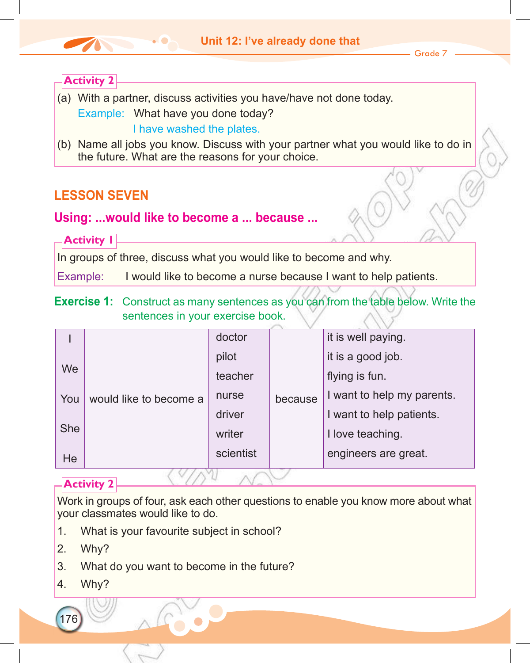### **Unit 12: I've already done that**

Grade 7

### **Activity 2**

- (a) With a partner, discuss activities you have/have not done today. Example: What have you done today? I have washed the plates.
- (b) Name all jobs you know. Discuss with your partner what you would like to do in the future. What are the reasons for your choice.

### **LESSON SEVEN**

### **Using: ...would like to become a ... because ...**

**Activity 1**

In groups of three, discuss what you would like to become and why.

Example: I would like to become a nurse because I want to help patients.

### **Exercise 1:** Construct as many sentences as you can from the table below. Write the sentences in your exercise book.

|            |                        | doctor    |         | it is well paying.         |
|------------|------------------------|-----------|---------|----------------------------|
|            |                        | pilot     |         | it is a good job.          |
| We         |                        | teacher   |         | flying is fun.             |
| You        | would like to become a | nurse     | because | I want to help my parents. |
|            |                        | driver    |         | I want to help patients.   |
| <b>She</b> |                        | writer    |         | I love teaching.           |
| He         |                        | scientist |         | engineers are great.       |

### **Activity 2**

Work in groups of four, ask each other questions to enable you know more about what your classmates would like to do.

- 1. What is your favourite subject in school?
- 2. Why?
- 3. What do you want to become in the future?
- 4. Why?

176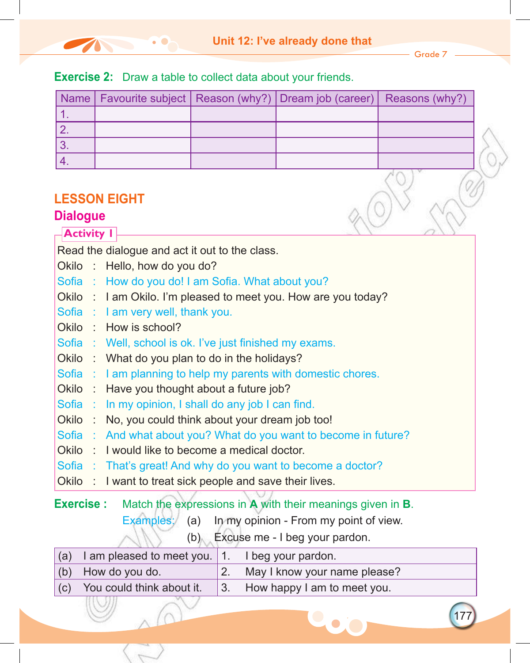- Grade 7 -

177

| <b>Name</b>       | Favourite subject                                        | Reason (why?) | Dream job (career)                                              | Reasons (why?) |
|-------------------|----------------------------------------------------------|---------------|-----------------------------------------------------------------|----------------|
| 1.                |                                                          |               |                                                                 |                |
| 2.                |                                                          |               |                                                                 |                |
| 3 <sub>1</sub>    |                                                          |               |                                                                 |                |
| 4.                |                                                          |               |                                                                 |                |
|                   |                                                          |               |                                                                 |                |
|                   | <b>LESSON EIGHT</b>                                      |               |                                                                 |                |
| <b>Dialogue</b>   |                                                          |               |                                                                 |                |
| <b>Activity I</b> |                                                          |               |                                                                 |                |
|                   | Read the dialogue and act it out to the class.           |               |                                                                 |                |
|                   | Okilo : Hello, how do you do?                            |               |                                                                 |                |
| Sofia :           | How do you do! I am Sofia. What about you?               |               |                                                                 |                |
|                   |                                                          |               | Okilo : I am Okilo. I'm pleased to meet you. How are you today? |                |
|                   | Sofia : I am very well, thank you.                       |               |                                                                 |                |
|                   | Okilo : How is school?                                   |               |                                                                 |                |
|                   | Sofia : Well, school is ok. I've just finished my exams. |               |                                                                 |                |
|                   | Okilo: What do you plan to do in the holidays?           |               |                                                                 |                |
|                   |                                                          |               | Sofia: I am planning to help my parents with domestic chores.   |                |
| Okilo:            | Have you thought about a future job?                     |               |                                                                 |                |
| Sofia :           | In my opinion, I shall do any job I can find.            |               |                                                                 |                |
| Okilo:            | No, you could think about your dream job too!            |               |                                                                 |                |
| Sofia :<br>Okilo: | I would like to become a medical doctor.                 |               | And what about you? What do you want to become in future?       |                |
|                   |                                                          |               | Sofia : That's great! And why do you want to become a doctor?   |                |
| Okilo:            | I want to treat sick people and save their lives.        |               |                                                                 |                |
|                   |                                                          |               |                                                                 |                |
| <b>Exercise:</b>  |                                                          |               | Match the expressions in A with their meanings given in B.      |                |
|                   | Examples:                                                | (a)           | In my opinion - From my point of view.                          |                |
|                   |                                                          |               | $(h)$ Evougo mo I hog vour pardon                               |                |

**Exercise 2:** Draw a table to collect data about your friends.

The Company

 $(1)$  (b) Excuse me - I beg your pardon.

| $(a)$ I am pleased to meet you. 1. | I beg your pardon.                     |
|------------------------------------|----------------------------------------|
| $(b)$ How do you do.               | May I know your name please?           |
| $(c)$ You could think about it.    | $\vert$ 3. How happy I am to meet you. |
|                                    |                                        |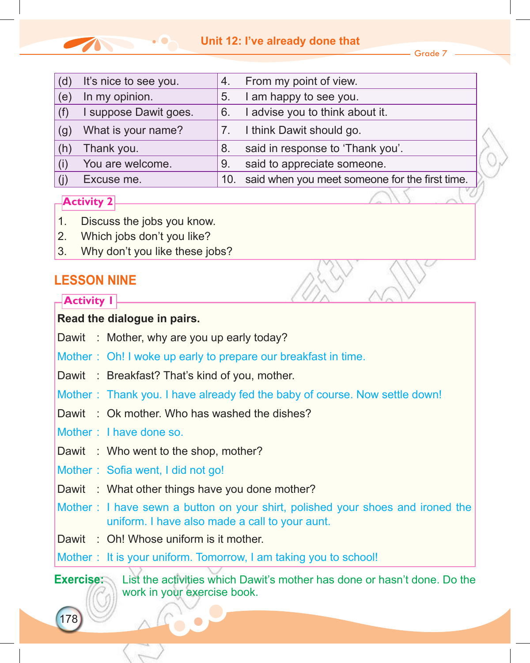### **Unit 12: I've already done that**

Grade 7

| (d) | It's nice to see you. | 4. | From my point of view.                             |
|-----|-----------------------|----|----------------------------------------------------|
| (e) | In my opinion.        | 5. | I am happy to see you.                             |
| (f) | I suppose Dawit goes. | 6. | advise you to think about it.                      |
| (g) | What is your name?    |    | I think Dawit should go.                           |
| (h) | Thank you.            | 8. | said in response to 'Thank you'.                   |
| (i) | You are welcome.      | 9. | said to appreciate someone.                        |
|     | Excuse me.            |    | 10. said when you meet someone for the first time. |

### **Activity 2**

- 1. Discuss the jobs you know.
- 2. Which jobs don't you like?
- 3. Why don't you like these jobs?

### **Lesson nine**

**Activity 1**

### **Read the dialogue in pairs.**

- Dawit : Mother, why are you up early today?
- Mother : Oh! I woke up early to prepare our breakfast in time.
- Dawit : Breakfast? That's kind of you, mother.
- Mother : Thank you. I have already fed the baby of course. Now settle down!
- Dawit : Ok mother. Who has washed the dishes?
- Mother : I have done so.
- Dawit : Who went to the shop, mother?
- Mother: Sofia went, I did not go!
- Dawit : What other things have you done mother?
- Mother : I have sewn a button on your shirt, polished your shoes and ironed the uniform. I have also made a call to your aunt.
- Dawit : Oh! Whose uniform is it mother.
- Mother : It is your uniform. Tomorrow, I am taking you to school!

178

**Exercise:** List the activities which Dawit's mother has done or hasn't done. Do the work in your exercise book.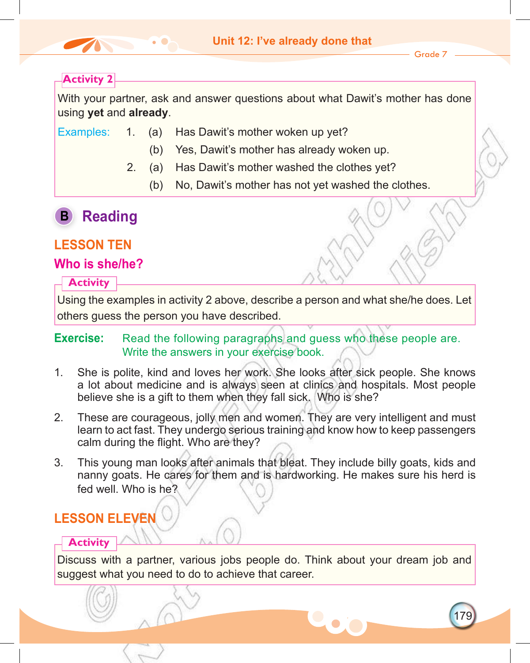

179

### **Activity 2**

With your partner, ask and answer questions about what Dawit's mother has done using **yet** and **already**.

- Examples: 1. (a) Has Dawit's mother woken up yet?
	- (b) Yes, Dawit's mother has already woken up.
	- 2. (a) Has Dawit's mother washed the clothes yet?
		- (b) No, Dawit's mother has not yet washed the clothes.

## **B Reading**

### **LESSON TEN**

### **Who is she/he?**

### **Activity**

Using the examples in activity 2 above, describe a person and what she/he does. Let others guess the person you have described.

### **Exercise:** Read the following paragraphs and guess who these people are. Write the answers in your exercise book.

- 1. She is polite, kind and loves her work. She looks after sick people. She knows a lot about medicine and is always seen at clinics and hospitals. Most people believe she is a gift to them when they fall sick. Who is she?
- 2. These are courageous, jolly men and women. They are very intelligent and must learn to act fast. They undergo serious training and know how to keep passengers calm during the flight. Who are they?
- 3. This young man looks after animals that bleat. They include billy goats, kids and nanny goats. He cares for them and is hardworking. He makes sure his herd is fed well. Who is he?

## **LESSON ELEVEN**

### **Activity**

Discuss with a partner, various jobs people do. Think about your dream job and suggest what you need to do to achieve that career.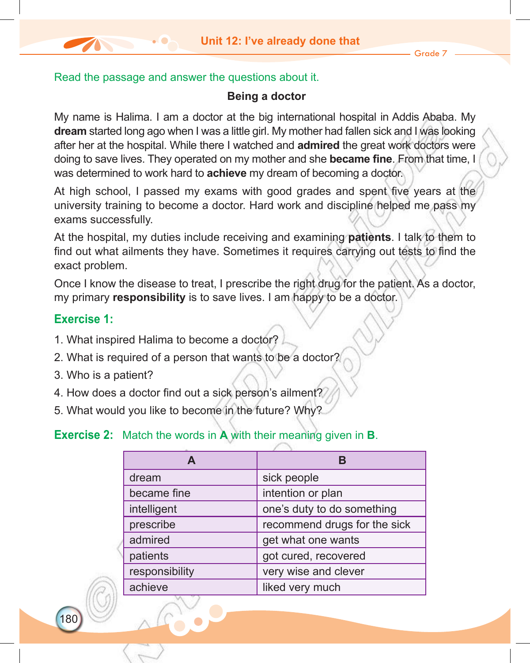### Read the passage and answer the questions about it.

### **Being a doctor**

My name is Halima. I am a doctor at the big international hospital in Addis Ababa. My **dream** started long ago when I was a little girl. My mother had fallen sick and I was looking after her at the hospital. While there I watched and **admired** the great work doctors were doing to save lives. They operated on my mother and she **became fine**. From that time, I was determined to work hard to **achieve** my dream of becoming a doctor.

At high school, I passed my exams with good grades and spent five years at the university training to become a doctor. Hard work and discipline helped me pass my exams successfully.

At the hospital, my duties include receiving and examining **patients**. I talk to them to find out what ailments they have. Sometimes it requires carrying out tests to find the exact problem.

Once I know the disease to treat, I prescribe the right drug for the patient. As a doctor, my primary **responsibility** is to save lives. I am happy to be a doctor.

### **Exercise 1:**

180

- 1. What inspired Halima to become a doctor?
- 2. What is required of a person that wants to be a doctor?
- 3. Who is a patient?
- 4. How does a doctor find out a sick person's ailment?
- 5. What would you like to become in the future? Why?

### **Exercise 2:** Match the words in **A** with their meaning given in **B**.

| A              |                              |
|----------------|------------------------------|
| dream          | sick people                  |
| became fine    | intention or plan            |
| intelligent    | one's duty to do something   |
| prescribe      | recommend drugs for the sick |
| admired        | get what one wants           |
| patients       | got cured, recovered         |
| responsibility | very wise and clever         |
| achieve        | liked very much              |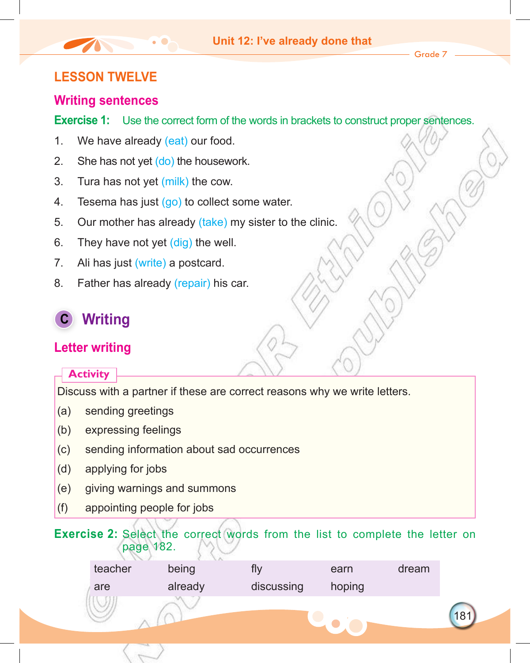### **LESSON TWELVE**

### **Writing sentences**

**Exercise 1:** Use the correct form of the words in brackets to construct proper sentences.

- 1. We have already (eat) our food.
- 2. She has not yet (do) the housework.
- 3. Tura has not yet (milk) the cow.
- 4. Tesema has just (go) to collect some water.
- 5. Our mother has already (take) my sister to the clinic.
- 6. They have not yet (dig) the well.
- 7. Ali has just (write) a postcard.
- 8. Father has already (repair) his car.

## **C Writing**

### **Letter writing**

### **Activity**

Discuss with a partner if these are correct reasons why we write letters.

- (a) sending greetings
- (b) expressing feelings
- (c) sending information about sad occurrences
- (d) applying for jobs
- (e) giving warnings and summons
- (f) appointing people for jobs

### **Exercise 2:** Select the correct words from the list to complete the letter on page 182.

| teacher | being   | ΓIV        | earn   | dream |
|---------|---------|------------|--------|-------|
| are     | already | discussing | hoping |       |
|         |         |            |        |       |
|         |         |            |        |       |
|         |         |            |        |       |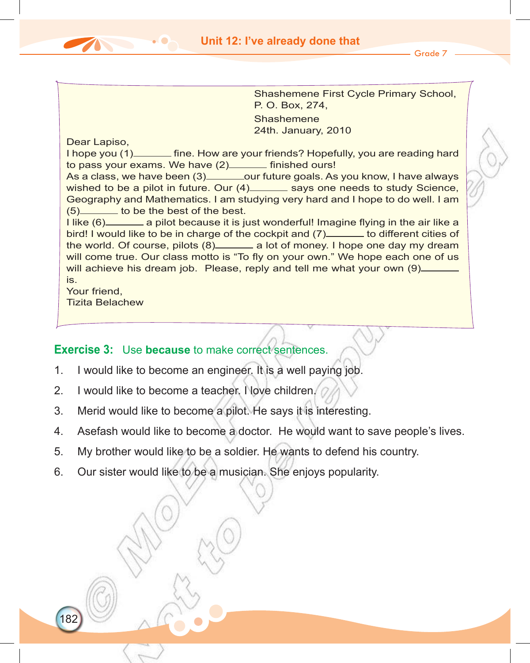Shashemene First Cycle Primary School, P. O. Box, 274, **Shashemene** 24th. January, 2010

Dear Lapiso, I hope you (1) fine. How are your friends? Hopefully, you are reading hard to pass your exams. We have (2) \_\_\_\_\_ finished ours! As a class, we have been (3) \_\_\_\_\_\_\_\_ our future goals. As you know, I have always wished to be a pilot in future. Our  $(4)$  says one needs to study Science, Geography and Mathematics. I am studying very hard and I hope to do well. I am  $(5)$  to be the best of the best. I like (6) a pilot because it is just wonderful! Imagine flying in the air like a bird! I would like to be in charge of the cockpit and (7) to different cities of the world. Of course, pilots (8) a lot of money. I hope one day my dream will come true. Our class motto is "To fly on your own." We hope each one of us will achieve his dream job. Please, reply and tell me what your own (9)\_ is. Your friend, Tizita Belachew

### **Exercise 3:** Use **because** to make correct sentences.

- 1. I would like to become an engineer. It is a well paying job.
- 2. I would like to become a teacher. I love children.

182

- 3. Merid would like to become a pilot. He says it is interesting.
- 4. Asefash would like to become a doctor. He would want to save people's lives.
- 5. My brother would like to be a soldier. He wants to defend his country.
- 6. Our sister would like to be a musician. She enjoys popularity.

Grade 7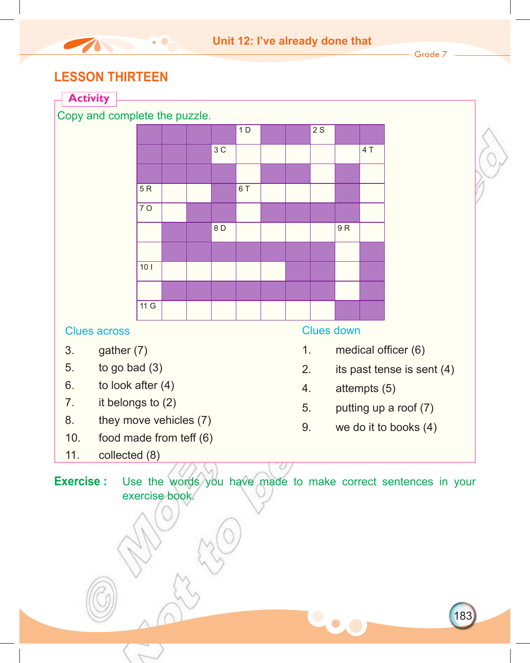### **LESSON THIRTEEN**

The Contract of the Contract of



183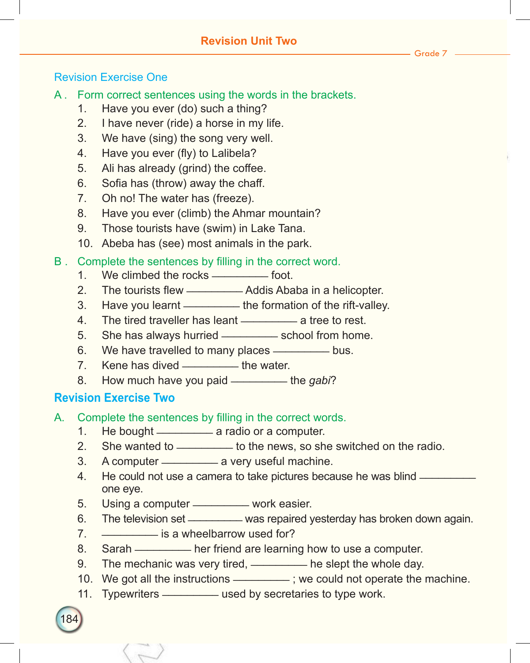### Revision Exercise One

- A . Form correct sentences using the words in the brackets.
	- 1. Have you ever (do) such a thing?
	- 2. I have never (ride) a horse in my life.
	- 3. We have (sing) the song very well.
	- 4. Have you ever (fly) to Lalibela?
	- 5. Ali has already (grind) the coffee.
	- 6. Sofia has (throw) away the chaff.
	- 7. Oh no! The water has (freeze).
	- 8. Have you ever (climb) the Ahmar mountain?
	- 9. Those tourists have (swim) in Lake Tana.
	- 10. Abeba has (see) most animals in the park.

#### B. Complete the sentences by filling in the correct word.

- 1. We climbed the rocks \_\_\_\_\_\_\_\_\_\_ foot.
- 2. The tourists flew — Addis Ababa in a helicopter.
- 3. Have you learnt \_\_\_\_\_\_\_\_\_ the formation of the rift-valley.
- 4. The tired traveller has leant \_\_\_\_\_\_\_\_\_ a tree to rest.
- 5. She has always hurried \_\_\_\_\_\_\_\_\_ school from home.
- 6. We have travelled to many places \_\_\_\_\_\_\_\_ bus.
- 7. Kene has dived \_\_\_\_\_\_\_\_\_ the water.
- 8. How much have you paid \_\_\_\_\_\_\_\_\_ the *gabi*?

### **Revision Exercise Two**

184

- A. Complete the sentences by filling in the correct words.
	- 1. He bought \_\_\_\_\_\_\_\_\_\_\_ a radio or a computer.
	- 2. She wanted to \_\_\_\_\_\_\_\_\_\_ to the news, so she switched on the radio.
	- 3. A computer ——————— a very useful machine.
	- 4. He could not use a camera to take pictures because he was blind \_\_\_\_\_\_\_\_ one eye.
	- 5. Using a computer \_\_\_\_\_\_\_\_\_ work easier.
	- 6. The television set \_\_\_\_\_\_\_\_ was repaired yesterday has broken down again.
	- 7. **\_\_\_\_\_\_\_\_\_** is a wheelbarrow used for?
	- 8. Sarah \_\_\_\_\_\_\_\_\_ her friend are learning how to use a computer.
	- 9. The mechanic was very tired, \_\_\_\_\_\_\_\_ he slept the whole day.
	- 10. We got all the instructions \_\_\_\_\_\_\_\_\_\_; we could not operate the machine.
	- 11. Typewriters \_\_\_\_\_\_\_\_\_ used by secretaries to type work.

Grade 7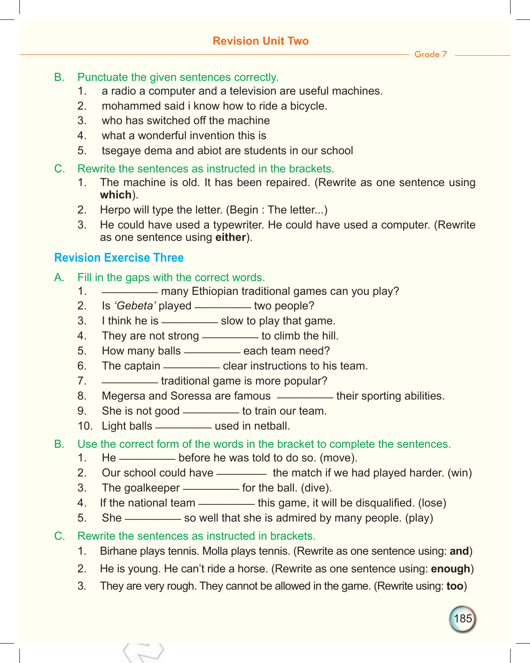#### Grade 7

- B. Punctuate the given sentences correctly.
	- 1. a radio a computer and a television are useful machines.
	- 2. mohammed said i know how to ride a bicycle.
	- 3. who has switched off the machine
	- 4. what a wonderful invention this is
	- 5. tsegaye dema and abiot are students in our school
- C. Rewrite the sentences as instructed in the brackets.
	- 1. The machine is old. It has been repaired. (Rewrite as one sentence using **which**).
	- 2. Herpo will type the letter. (Begin : The letter...)
	- 3. He could have used a typewriter. He could have used a computer. (Rewrite as one sentence using **either**).

### **Revision Exercise Three**

- A. Fill in the gaps with the correct words.
	- 1. \_\_\_\_\_\_\_\_\_ many Ethiopian traditional games can you play?
	- 2. Is *'Gebeta'* played \_\_\_\_\_\_\_\_\_ two people?
	- 3. I think he is \_\_\_\_\_\_\_\_\_\_ slow to play that game.
	- 4. They are not strong \_\_\_\_\_\_\_\_ to climb the hill.
	- 5. How many balls \_\_\_\_\_\_\_\_ each team need?
	- 6. The captain —————————— clear instructions to his team.
	- 7. \_\_\_\_\_\_\_\_\_ traditional game is more popular?
	- 8. Megersa and Soressa are famous **\_\_\_\_\_\_\_** their sporting abilities.
	- 9. She is not good \_\_\_\_\_\_\_\_ to train our team.
	- 10. Light balls \_\_\_\_\_\_\_\_\_\_\_ used in netball.
- B. Use the correct form of the words in the bracket to complete the sentences.
	- 1. He \_\_\_\_\_\_\_\_\_ before he was told to do so. (move).
	- 2. Our school could have \_\_\_\_\_\_\_\_\_ the match if we had played harder. (win)
	- 3. The goalkeeper \_\_\_\_\_\_\_\_ for the ball. (dive).
	- 4. If the national team \_\_\_\_\_\_\_\_\_\_ this game, it will be disqualified. (lose)
	- 5. She \_\_\_\_\_\_\_\_\_ so well that she is admired by many people. (play)
- C. Rewrite the sentences as instructed in brackets.
	- 1. Birhane plays tennis. Molla plays tennis. (Rewrite as one sentence using: **and**)
	- 2. He is young. He can't ride a horse. (Rewrite as one sentence using: **enough**)
	- 3. They are very rough. They cannot be allowed in the game. (Rewrite using: **too**)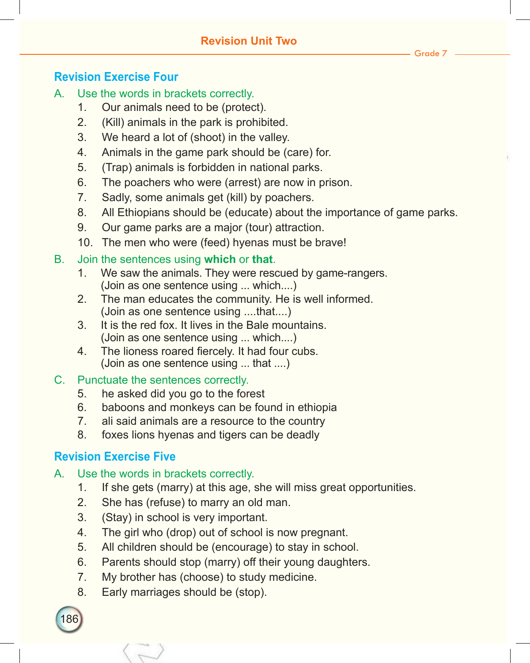### **Revision Exercise Four**

- A. Use the words in brackets correctly.
	- 1. Our animals need to be (protect).
	- 2. (Kill) animals in the park is prohibited.
	- 3. We heard a lot of (shoot) in the valley.
	- 4. Animals in the game park should be (care) for.
	- 5. (Trap) animals is forbidden in national parks.
	- 6. The poachers who were (arrest) are now in prison.
	- 7. Sadly, some animals get (kill) by poachers.
	- 8. All Ethiopians should be (educate) about the importance of game parks.
	- 9. Our game parks are a major (tour) attraction.
	- 10. The men who were (feed) hyenas must be brave!
- B. Join the sentences using **which** or **that**.
	- 1. We saw the animals. They were rescued by game-rangers. (Join as one sentence using ... which....)
	- 2. The man educates the community. He is well informed. (Join as one sentence using ....that....)
	- 3. It is the red fox. It lives in the Bale mountains. (Join as one sentence using ... which....)
	- 4. The lioness roared fiercely. It had four cubs. (Join as one sentence using ... that ....)

### C. Punctuate the sentences correctly.

- 5. he asked did you go to the forest
- 6. baboons and monkeys can be found in ethiopia
- 7. ali said animals are a resource to the country
- 8. foxes lions hyenas and tigers can be deadly

### **Revision Exercise Five**

186

### A. Use the words in brackets correctly.

- 1. If she gets (marry) at this age, she will miss great opportunities.
- 2. She has (refuse) to marry an old man.
- 3. (Stay) in school is very important.
- 4. The girl who (drop) out of school is now pregnant.
- 5. All children should be (encourage) to stay in school.
- 6. Parents should stop (marry) off their young daughters.
- 7. My brother has (choose) to study medicine.
- 8. Early marriages should be (stop).

Grade 7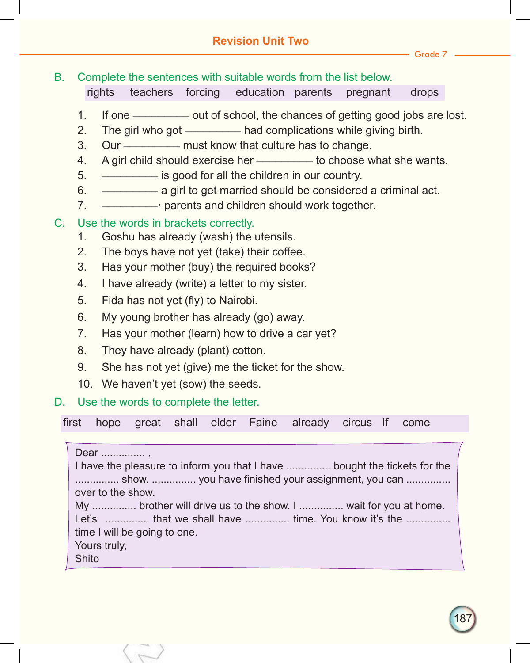Grade 7

### B. Complete the sentences with suitable words from the list below.

rights teachers forcing education parents pregnant drops

- 1. If one \_\_\_\_\_\_\_\_\_ out of school, the chances of getting good jobs are lost.
- 2. The girl who got had complications while giving birth.
- 3. Our \_\_\_\_\_\_\_\_\_ must know that culture has to change.
- 4. A girl child should exercise her \_\_\_\_\_\_\_\_\_ to choose what she wants.
- 5. \_\_\_\_\_\_\_\_\_ is good for all the children in our country.
- 6. \_\_\_\_\_\_\_\_\_ a girl to get married should be considered a criminal act.
- 7. **\_\_\_\_\_\_\_\_\_**, parents and children should work together.

### C. Use the words in brackets correctly.

- 1. Goshu has already (wash) the utensils.
- 2. The boys have not yet (take) their coffee.
- 3. Has your mother (buy) the required books?
- 4. I have already (write) a letter to my sister.
- 5. Fida has not yet (fly) to Nairobi.
- 6. My young brother has already (go) away.
- 7. Has your mother (learn) how to drive a car yet?
- 8. They have already (plant) cotton.
- 9. She has not yet (give) me the ticket for the show.
- 10. We haven't yet (sow) the seeds.

### D. Use the words to complete the letter.

first hope great shall elder Faine already circus If come

Dear .................

I have the pleasure to inform you that I have ............... bought the tickets for the ............... show. ............... you have finished your assignment, you can ............... over to the show. My ............... brother will drive us to the show. I ............... wait for you at home. Let's ................ that we shall have ................ time. You know it's the ............... time I will be going to one. Yours truly, **Shito**